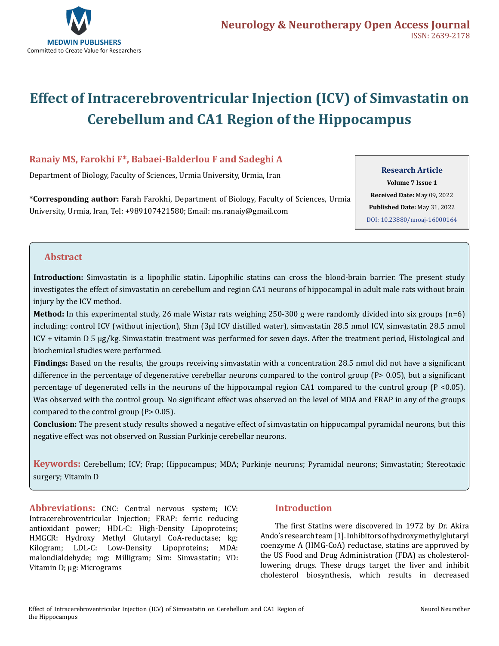

# **Effect of Intracerebroventricular Injection (ICV) of Simvastatin on Cerebellum and CA1 Region of the Hippocampus**

# **Ranaiy MS, Farokhi F\*, Babaei-Balderlou F and Sadeghi A**

Department of Biology, Faculty of Sciences, Urmia University, Urmia, Iran

**\*Corresponding author:** Farah Farokhi, Department of Biology, Faculty of Sciences, Urmia University, Urmia, Iran, Tel: +989107421580; Email: ms.ranaiy@gmail.com

#### **Research Article**

**Volume 7 Issue 1 Received Date:** May 09, 2022 **Published Date:** May 31, 2022 [DOI: 10.23880/nnoaj-16000164](https://doi.org/10.23880/nnoaj-16000164)

## **Abstract**

**Introduction:** Simvastatin is a lipophilic statin. Lipophilic statins can cross the blood-brain barrier. The present study investigates the effect of simvastatin on cerebellum and region CA1 neurons of hippocampal in adult male rats without brain injury by the ICV method.

**Method:** In this experimental study, 26 male Wistar rats weighing 250-300 g were randomly divided into six groups (n=6) including: control ICV (without injection), Shm (3μl ICV distilled water), simvastatin 28.5 nmol ICV, simvastatin 28.5 nmol ICV + vitamin D 5 µg/kg. Simvastatin treatment was performed for seven days. After the treatment period, Histological and biochemical studies were performed.

**Findings:** Based on the results, the groups receiving simvastatin with a concentration 28.5 nmol did not have a significant difference in the percentage of degenerative cerebellar neurons compared to the control group (P> 0.05), but a significant percentage of degenerated cells in the neurons of the hippocampal region CA1 compared to the control group (P <0.05). Was observed with the control group. No significant effect was observed on the level of MDA and FRAP in any of the groups compared to the control group (P> 0.05).

**Conclusion:** The present study results showed a negative effect of simvastatin on hippocampal pyramidal neurons, but this negative effect was not observed on Russian Purkinje cerebellar neurons.

**Keywords:** Cerebellum; ICV; Frap; Hippocampus; MDA; Purkinje neurons; Pyramidal neurons; Simvastatin; Stereotaxic surgery; Vitamin D

**Abbreviations:** CNC: Central nervous system; ICV: Intracerebroventricular Injection; FRAP: ferric reducing antioxidant power; HDL-C: High-Density Lipoproteins; HMGCR: Hydroxy Methyl Glutaryl CoA-reductase; kg: Kilogram; LDL-C: Low-Density Lipoproteins; MDA: malondialdehyde; mg: Milligram; Sim: Simvastatin; VD: Vitamin D; µg: Micrograms

# **Introduction**

The first Statins were discovered in 1972 by Dr. Akira Ando's research team [1]. Inhibitors of hydroxymethylglutaryl coenzyme A (HMG-CoA) reductase, statins are approved by the US Food and Drug Administration (FDA) as cholesterollowering drugs. These drugs target the liver and inhibit cholesterol biosynthesis, which results in decreased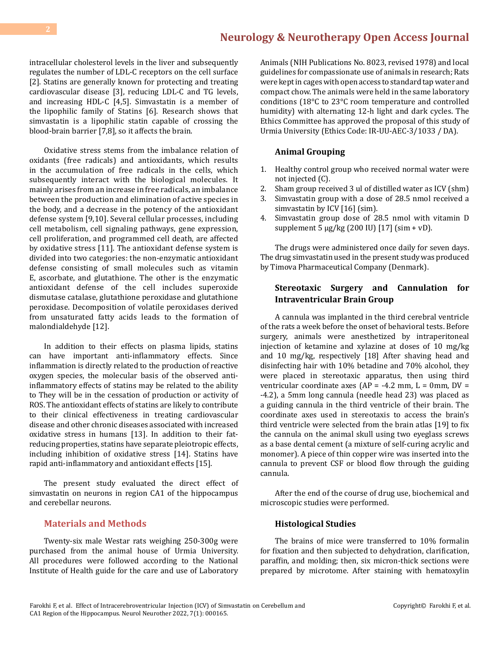intracellular cholesterol levels in the liver and subsequently regulates the number of LDL-C receptors on the cell surface [2]. Statins are generally known for protecting and treating cardiovascular disease [3], reducing LDL-C and TG levels, and increasing HDL-C [4,5]. Simvastatin is a member of the lipophilic family of Statins [6]. Research shows that simvastatin is a lipophilic statin capable of crossing the blood-brain barrier [7,8], so it affects the brain.

Oxidative stress stems from the imbalance relation of oxidants (free radicals) and antioxidants, which results in the accumulation of free radicals in the cells, which subsequently interact with the biological molecules. It mainly arises from an increase in free radicals, an imbalance between the production and elimination of active species in the body, and a decrease in the potency of the antioxidant defense system [9,10]. Several cellular processes, including cell metabolism, cell signaling pathways, gene expression, cell proliferation, and programmed cell death, are affected by oxidative stress [11]. The antioxidant defense system is divided into two categories: the non-enzymatic antioxidant defense consisting of small molecules such as vitamin E, ascorbate, and glutathione. The other is the enzymatic antioxidant defense of the cell includes superoxide dismutase catalase, glutathione peroxidase and glutathione peroxidase. Decomposition of volatile peroxidases derived from unsaturated fatty acids leads to the formation of malondialdehyde [12].

In addition to their effects on plasma lipids, statins can have important anti-inflammatory effects. Since inflammation is directly related to the production of reactive oxygen species, the molecular basis of the observed antiinflammatory effects of statins may be related to the ability to They will be in the cessation of production or activity of ROS. The antioxidant effects of statins are likely to contribute to their clinical effectiveness in treating cardiovascular disease and other chronic diseases associated with increased oxidative stress in humans [13]. In addition to their fatreducing properties, statins have separate pleiotropic effects, including inhibition of oxidative stress [14]. Statins have rapid anti-inflammatory and antioxidant effects [15].

The present study evaluated the direct effect of simvastatin on neurons in region CA1 of the hippocampus and cerebellar neurons.

#### **Materials and Methods**

Twenty-six male Westar rats weighing 250-300g were purchased from the animal house of Urmia University. All procedures were followed according to the National Institute of Health guide for the care and use of Laboratory

Animals (NIH Publications No. 8023, revised 1978) and local guidelines for compassionate use of animals in research; Rats were kept in cages with open access to standard tap water and compact chow. The animals were held in the same laboratory conditions (18°C to 23°C room temperature and controlled humidity) with alternating 12-h light and dark cycles. The Ethics Committee has approved the proposal of this study of Urmia University (Ethics Code: IR-UU-AEC-3/1033 / DA).

#### **Animal Grouping**

- 1. Healthy control group who received normal water were not injected (C).
- 2. Sham group received 3 ul of distilled water as ICV (shm)
- 3. Simvastatin group with a dose of 28.5 nmol received a simvastatin by ICV [16] (sim).
- 4. Simvastatin group dose of 28.5 nmol with vitamin D supplement 5  $\mu$ g/kg (200 IU) [17] (sim + vD).

The drugs were administered once daily for seven days. The drug simvastatin used in the present study was produced by Timova Pharmaceutical Company (Denmark).

#### **Stereotaxic Surgery and Cannulation for Intraventricular Brain Group**

A cannula was implanted in the third cerebral ventricle of the rats a week before the onset of behavioral tests. Before surgery, animals were anesthetized by intraperitoneal injection of ketamine and xylazine at doses of 10 mg/kg and 10 mg/kg, respectively [18] After shaving head and disinfecting hair with 10% betadine and 70% alcohol, they were placed in stereotaxic apparatus, then using third ventricular coordinate axes ( $AP = -4.2$  mm,  $L = 0$ mm,  $DV =$ -4.2), a 5mm long cannula (needle head 23) was placed as a guiding cannula in the third ventricle of their brain. The coordinate axes used in stereotaxis to access the brain's third ventricle were selected from the brain atlas [19] to fix the cannula on the animal skull using two eyeglass screws as a base dental cement (a mixture of self-curing acrylic and monomer). A piece of thin copper wire was inserted into the cannula to prevent CSF or blood flow through the guiding cannula.

After the end of the course of drug use, biochemical and microscopic studies were performed.

#### **Histological Studies**

The brains of mice were transferred to 10% formalin for fixation and then subjected to dehydration, clarification, paraffin, and molding; then, six micron-thick sections were prepared by microtome. After staining with hematoxylin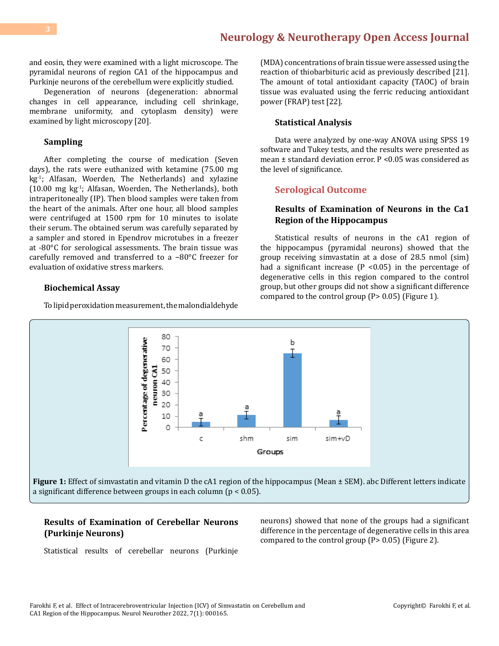and eosin, they were examined with a light microscope. The pyramidal neurons of region CA1 of the hippocampus and Purkinje neurons of the cerebellum were explicitly studied.

Degeneration of neurons (degeneration: abnormal changes in cell appearance, including cell shrinkage, membrane uniformity, and cytoplasm density) were examined by light microscopy [20].

#### **Sampling**

After completing the course of medication (Seven days), the rats were euthanized with ketamine (75.00 mg kg-1; Alfasan, Woerden, The Netherlands) and xylazine (10.00 mg kg-1; Alfasan, Woerden, The Netherlands), both intraperitoneally (IP). Then blood samples were taken from the heart of the animals. After one hour, all blood samples were centrifuged at 1500 rpm for 10 minutes to isolate their serum. The obtained serum was carefully separated by a sampler and stored in Ependrov microtubes in a freezer at -80°C for serological assessments. The brain tissue was carefully removed and transferred to a −80°C freezer for evaluation of oxidative stress markers.

#### **Biochemical Assay**

To lipid peroxidation measurement, the malondialdehyde

(MDA) concentrations of brain tissue were assessed using the reaction of thiobarbituric acid as previously described [21]. The amount of total antioxidant capacity (TAOC) of brain tissue was evaluated using the ferric reducing antioxidant power (FRAP) test [22].

#### **Statistical Analysis**

Data were analyzed by one-way ANOVA using SPSS 19 software and Tukey tests, and the results were presented as mean  $\pm$  standard deviation error. P < 0.05 was considered as the level of significance.

#### **Serological Outcome**

#### **Results of Examination of Neurons in the Ca1 Region of the Hippocampus**

Statistical results of neurons in the cA1 region of the hippocampus (pyramidal neurons) showed that the group receiving simvastatin at a dose of 28.5 nmol (sim) had a significant increase  $(P \le 0.05)$  in the percentage of degenerative cells in this region compared to the control group, but other groups did not show a significant difference compared to the control group (P> 0.05) (Figure 1).



## **Results of Examination of Cerebellar Neurons (Purkinje Neurons)**

neurons) showed that none of the groups had a significant difference in the percentage of degenerative cells in this area compared to the control group (P> 0.05) (Figure 2).

Statistical results of cerebellar neurons (Purkinje

Farokhi F, et al. Effect of Intracerebroventricular Injection (ICV) of Simvastatin on Cerebellum and CA1 Region of the Hippocampus. Neurol Neurother 2022, 7(1): 000165.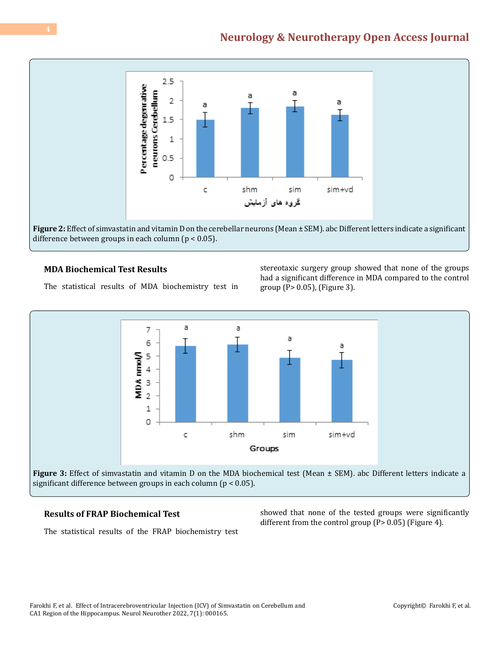

**Figure 2:** Effect of simvastatin and vitamin D on the cerebellar neurons (Mean ± SEM). abc Different letters indicate a significant difference between groups in each column ( $p < 0.05$ ).

# **MDA Biochemical Test Results**

The statistical results of MDA biochemistry test in

stereotaxic surgery group showed that none of the groups had a significant difference in MDA compared to the control group (P> 0.05), (Figure 3).



## **Results of FRAP Biochemical Test**

The statistical results of the FRAP biochemistry test

showed that none of the tested groups were significantly different from the control group (P> 0.05) (Figure 4).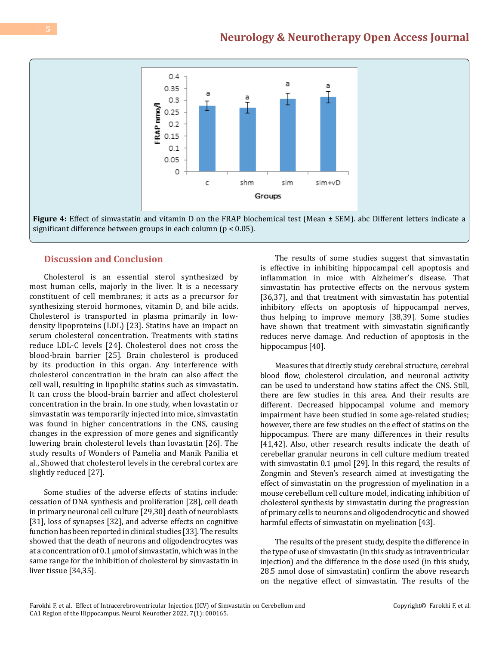

#### **Discussion and Conclusion**

Cholesterol is an essential sterol synthesized by most human cells, majorly in the liver. It is a necessary constituent of cell membranes; it acts as a precursor for synthesizing steroid hormones, vitamin D, and bile acids. Cholesterol is transported in plasma primarily in lowdensity lipoproteins (LDL) [23]. Statins have an impact on serum cholesterol concentration. Treatments with statins reduce LDL-C levels [24]. Cholesterol does not cross the blood-brain barrier [25]. Brain cholesterol is produced by its production in this organ. Any interference with cholesterol concentration in the brain can also affect the cell wall, resulting in lipophilic statins such as simvastatin. It can cross the blood-brain barrier and affect cholesterol concentration in the brain. In one study, when lovastatin or simvastatin was temporarily injected into mice, simvastatin was found in higher concentrations in the CNS, causing changes in the expression of more genes and significantly lowering brain cholesterol levels than lovastatin [26]. The study results of Wonders of Pamelia and Manik Panilia et al., Showed that cholesterol levels in the cerebral cortex are slightly reduced [27].

Some studies of the adverse effects of statins include: cessation of DNA synthesis and proliferation [28], cell death in primary neuronal cell culture [29,30] death of neuroblasts [31], loss of synapses [32], and adverse effects on cognitive function has been reported in clinical studies [33]. The results showed that the death of neurons and oligodendrocytes was at a concentration of 0.1 μmol of simvastatin, which was in the same range for the inhibition of cholesterol by simvastatin in liver tissue [34,35].

The results of some studies suggest that simvastatin is effective in inhibiting hippocampal cell apoptosis and inflammation in mice with Alzheimer's disease. That simvastatin has protective effects on the nervous system [36,37], and that treatment with simvastatin has potential inhibitory effects on apoptosis of hippocampal nerves, thus helping to improve memory [38,39]. Some studies have shown that treatment with simvastatin significantly reduces nerve damage. And reduction of apoptosis in the hippocampus [40].

Measures that directly study cerebral structure, cerebral blood flow, cholesterol circulation, and neuronal activity can be used to understand how statins affect the CNS. Still, there are few studies in this area. And their results are different. Decreased hippocampal volume and memory impairment have been studied in some age-related studies; however, there are few studies on the effect of statins on the hippocampus. There are many differences in their results [41,42]. Also, other research results indicate the death of cerebellar granular neurons in cell culture medium treated with simvastatin 0.1 μmol [29]. In this regard, the results of Zongmin and Steven's research aimed at investigating the effect of simvastatin on the progression of myelination in a mouse cerebellum cell culture model, indicating inhibition of cholesterol synthesis by simvastatin during the progression of primary cells to neurons and oligodendrocytic and showed harmful effects of simvastatin on myelination [43].

The results of the present study, despite the difference in the type of use of simvastatin (in this study as intraventricular injection) and the difference in the dose used (in this study, 28.5 nmol dose of simvastatin) confirm the above research on the negative effect of simvastatin. The results of the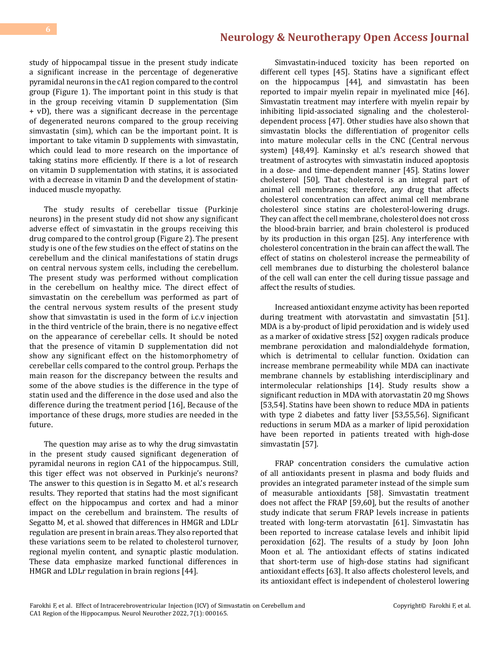study of hippocampal tissue in the present study indicate a significant increase in the percentage of degenerative pyramidal neurons in the cA1 region compared to the control group (Figure 1). The important point in this study is that in the group receiving vitamin D supplementation (Sim + vD), there was a significant decrease in the percentage of degenerated neurons compared to the group receiving simvastatin (sim), which can be the important point. It is important to take vitamin D supplements with simvastatin, which could lead to more research on the importance of taking statins more efficiently. If there is a lot of research on vitamin D supplementation with statins, it is associated with a decrease in vitamin D and the development of statininduced muscle myopathy.

The study results of cerebellar tissue (Purkinje neurons) in the present study did not show any significant adverse effect of simvastatin in the groups receiving this drug compared to the control group (Figure 2). The present study is one of the few studies on the effect of statins on the cerebellum and the clinical manifestations of statin drugs on central nervous system cells, including the cerebellum. The present study was performed without complication in the cerebellum on healthy mice. The direct effect of simvastatin on the cerebellum was performed as part of the central nervous system results of the present study show that simvastatin is used in the form of i.c.v injection in the third ventricle of the brain, there is no negative effect on the appearance of cerebellar cells. It should be noted that the presence of vitamin D supplementation did not show any significant effect on the histomorphometry of cerebellar cells compared to the control group. Perhaps the main reason for the discrepancy between the results and some of the above studies is the difference in the type of statin used and the difference in the dose used and also the difference during the treatment period [16], Because of the importance of these drugs, more studies are needed in the future.

The question may arise as to why the drug simvastatin in the present study caused significant degeneration of pyramidal neurons in region CA1 of the hippocampus. Still, this tiger effect was not observed in Purkinje's neurons? The answer to this question is in Segatto M. et al.'s research results. They reported that statins had the most significant effect on the hippocampus and cortex and had a minor impact on the cerebellum and brainstem. The results of Segatto M, et al. showed that differences in HMGR and LDLr regulation are present in brain areas. They also reported that these variations seem to be related to cholesterol turnover, regional myelin content, and synaptic plastic modulation. These data emphasize marked functional differences in HMGR and LDLr regulation in brain regions [44].

Simvastatin-induced toxicity has been reported on different cell types [45]. Statins have a significant effect on the hippocampus [44], and simvastatin has been reported to impair myelin repair in myelinated mice [46]. Simvastatin treatment may interfere with myelin repair by inhibiting lipid-associated signaling and the cholesteroldependent process [47]. Other studies have also shown that simvastatin blocks the differentiation of progenitor cells into mature molecular cells in the CNC (Central nervous system) [48,49]. Kaminsky et al.'s research showed that treatment of astrocytes with simvastatin induced apoptosis in a dose- and time-dependent manner [45]. Statins lower cholesterol [50], That cholesterol is an integral part of animal cell membranes; therefore, any drug that affects cholesterol concentration can affect animal cell membrane cholesterol since statins are cholesterol-lowering drugs. They can affect the cell membrane, cholesterol does not cross the blood-brain barrier, and brain cholesterol is produced by its production in this organ [25]. Any interference with cholesterol concentration in the brain can affect the wall. The effect of statins on cholesterol increase the permeability of cell membranes due to disturbing the cholesterol balance of the cell wall can enter the cell during tissue passage and affect the results of studies.

Increased antioxidant enzyme activity has been reported during treatment with atorvastatin and simvastatin [51]. MDA is a by-product of lipid peroxidation and is widely used as a marker of oxidative stress [52] oxygen radicals produce membrane peroxidation and malondialdehyde formation, which is detrimental to cellular function. Oxidation can increase membrane permeability while MDA can inactivate membrane channels by establishing interdisciplinary and intermolecular relationships [14]. Study results show a significant reduction in MDA with atorvastatin 20 mg Shows [53,54]. Statins have been shown to reduce MDA in patients with type 2 diabetes and fatty liver [53,55,56]. Significant reductions in serum MDA as a marker of lipid peroxidation have been reported in patients treated with high-dose simvastatin [57].

FRAP concentration considers the cumulative action of all antioxidants present in plasma and body fluids and provides an integrated parameter instead of the simple sum of measurable antioxidants [58]. Simvastatin treatment does not affect the FRAP [59,60], but the results of another study indicate that serum FRAP levels increase in patients treated with long-term atorvastatin [61]. Simvastatin has been reported to increase catalase levels and inhibit lipid peroxidation [62]. The results of a study by Joon John Moon et al. The antioxidant effects of statins indicated that short-term use of high-dose statins had significant antioxidant effects [63]. It also affects cholesterol levels, and its antioxidant effect is independent of cholesterol lowering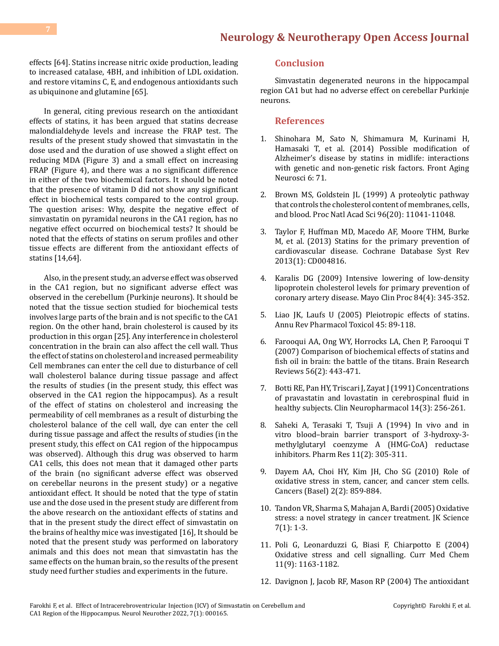effects [64]. Statins increase nitric oxide production, leading to increased catalase, 4BH, and inhibition of LDL oxidation. and restore vitamins C, E, and endogenous antioxidants such as ubiquinone and glutamine [65].

In general, citing previous research on the antioxidant effects of statins, it has been argued that statins decrease malondialdehyde levels and increase the FRAP test. The results of the present study showed that simvastatin in the dose used and the duration of use showed a slight effect on reducing MDA (Figure 3) and a small effect on increasing FRAP (Figure 4), and there was a no significant difference in either of the two biochemical factors. It should be noted that the presence of vitamin D did not show any significant effect in biochemical tests compared to the control group. The question arises: Why, despite the negative effect of simvastatin on pyramidal neurons in the CA1 region, has no negative effect occurred on biochemical tests? It should be noted that the effects of statins on serum profiles and other tissue effects are different from the antioxidant effects of statins [14,64].

Also, in the present study, an adverse effect was observed in the CA1 region, but no significant adverse effect was observed in the cerebellum (Purkinje neurons). It should be noted that the tissue section studied for biochemical tests involves large parts of the brain and is not specific to the CA1 region. On the other hand, brain cholesterol is caused by its production in this organ [25]. Any interference in cholesterol concentration in the brain can also affect the cell wall. Thus the effect of statins on cholesterol and increased permeability Cell membranes can enter the cell due to disturbance of cell wall cholesterol balance during tissue passage and affect the results of studies (in the present study, this effect was observed in the CA1 region the hippocampus). As a result of the effect of statins on cholesterol and increasing the permeability of cell membranes as a result of disturbing the cholesterol balance of the cell wall, dye can enter the cell during tissue passage and affect the results of studies (in the present study, this effect on CA1 region of the hippocampus was observed). Although this drug was observed to harm CA1 cells, this does not mean that it damaged other parts of the brain (no significant adverse effect was observed on cerebellar neurons in the present study) or a negative antioxidant effect. It should be noted that the type of statin use and the dose used in the present study are different from the above research on the antioxidant effects of statins and that in the present study the direct effect of simvastatin on the brains of healthy mice was investigated [16], It should be noted that the present study was performed on laboratory animals and this does not mean that simvastatin has the same effects on the human brain, so the results of the present study need further studies and experiments in the future.

### **Conclusion**

Simvastatin degenerated neurons in the hippocampal region CA1 but had no adverse effect on cerebellar Purkinje neurons.

#### **References**

- 1. [Shinohara M, Sato N, Shimamura M, Kurinami H,](https://pubmed.ncbi.nlm.nih.gov/24795626/) [Hamasaki T, et al. \(2014\) Possible modification of](https://pubmed.ncbi.nlm.nih.gov/24795626/) [Alzheimer's disease by statins in midlife: interactions](https://pubmed.ncbi.nlm.nih.gov/24795626/)  [with genetic and non-genetic risk factors. Front Aging](https://pubmed.ncbi.nlm.nih.gov/24795626/)  [Neurosci 6: 71.](https://pubmed.ncbi.nlm.nih.gov/24795626/)
- 2. [Brown MS, Goldstein JL \(1999\) A proteolytic pathway](https://pubmed.ncbi.nlm.nih.gov/10500120/)  [that controls the cholesterol content of membranes, cells,](https://pubmed.ncbi.nlm.nih.gov/10500120/) [and blood. Proc Natl Acad Sci 96\(20\): 11041-11048.](https://pubmed.ncbi.nlm.nih.gov/10500120/)
- 3. [Taylor F, Huffman MD, Macedo AF, Moore THM, Burke](https://pubmed.ncbi.nlm.nih.gov/23440795/) [M, et al. \(2013\) Statins for the primary prevention of](https://pubmed.ncbi.nlm.nih.gov/23440795/)  [cardiovascular disease. Cochrane Database Syst Rev](https://pubmed.ncbi.nlm.nih.gov/23440795/) [2013\(1\): CD004816.](https://pubmed.ncbi.nlm.nih.gov/23440795/)
- 4. [Karalis DG \(2009\) Intensive lowering of low-density](https://pubmed.ncbi.nlm.nih.gov/19339653/) [lipoprotein cholesterol levels for primary prevention of](https://pubmed.ncbi.nlm.nih.gov/19339653/) [coronary artery disease. Mayo Clin Proc 84\(4\): 345-352.](https://pubmed.ncbi.nlm.nih.gov/19339653/)
- 5. [Liao JK, Laufs U \(2005\) Pleiotropic effects of statins.](https://www.annualreviews.org/doi/10.1146/annurev.pharmtox.45.120403.095748) [Annu Rev Pharmacol Toxicol 45: 89-118.](https://www.annualreviews.org/doi/10.1146/annurev.pharmtox.45.120403.095748)
- 6. [Farooqui AA, Ong WY, Horrocks LA, Chen P, Farooqui T](https://www.sciencedirect.com/science/article/abs/pii/S0165017307001944)  [\(2007\) Comparison of biochemical effects of statins and](https://www.sciencedirect.com/science/article/abs/pii/S0165017307001944)  [fish oil in brain: the battle of the titans. Brain Research](https://www.sciencedirect.com/science/article/abs/pii/S0165017307001944) [Reviews 56\(2\): 443-471.](https://www.sciencedirect.com/science/article/abs/pii/S0165017307001944)
- 7. Botti RE, Pan HY, Triscari J, Zayat J (1991) Concentrations [of pravastatin and lovastatin in cerebrospinal fluid in](https://pubmed.ncbi.nlm.nih.gov/1906375/)  [healthy subjects. Clin Neuropharmacol 14\(3\): 256-261.](https://pubmed.ncbi.nlm.nih.gov/1906375/)
- 8. [Saheki A, Terasaki T, Tsuji A \(1994\) In vivo and in](https://pubmed.ncbi.nlm.nih.gov/8165193/)  [vitro blood–brain barrier transport of 3-hydroxy-3](https://pubmed.ncbi.nlm.nih.gov/8165193/) [methylglutaryl coenzyme A \(HMG-CoA\) reductase](https://pubmed.ncbi.nlm.nih.gov/8165193/) [inhibitors. Pharm Res 11\(2\): 305-311.](https://pubmed.ncbi.nlm.nih.gov/8165193/)
- 9. [Dayem AA, Choi HY, Kim JH, Cho SG \(2010\) Role of](https://pubmed.ncbi.nlm.nih.gov/24281098/) [oxidative stress in stem, cancer, and cancer stem cells.](https://pubmed.ncbi.nlm.nih.gov/24281098/)  [Cancers \(Basel\) 2\(2\): 859-884.](https://pubmed.ncbi.nlm.nih.gov/24281098/)
- 10. [Tandon VR, Sharma S, Mahajan A, Bardi \(2005\) Oxidative](https://www.jkscience.org/archive/volume7/newhorizons.pdf) [stress: a novel strategy in cancer treatment. JK Science](https://www.jkscience.org/archive/volume7/newhorizons.pdf) [7\(1\): 1-3.](https://www.jkscience.org/archive/volume7/newhorizons.pdf)
- 11. [Poli G, Leonarduzzi G, Biasi F, Chiarpotto E \(2004\)](https://pubmed.ncbi.nlm.nih.gov/15134513/) [Oxidative stress and cell signalling. Curr Med Chem](https://pubmed.ncbi.nlm.nih.gov/15134513/) [11\(9\): 1163-1182.](https://pubmed.ncbi.nlm.nih.gov/15134513/)
- 12. [Davignon J, Jacob RF, Mason RP \(2004\) The antioxidant](https://pubmed.ncbi.nlm.nih.gov/15238821/)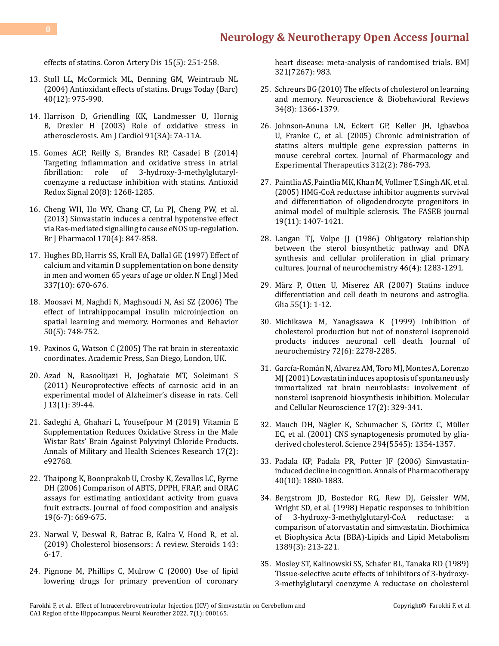[effects of statins. Coron Artery Dis 15\(5\): 251-258.](https://pubmed.ncbi.nlm.nih.gov/15238821/)

- 13. [Stoll LL, McCormick ML, Denning GM, Weintraub NL](https://pubmed.ncbi.nlm.nih.gov/15645009/) [\(2004\) Antioxidant effects of statins. Drugs Today \(Barc\)](https://pubmed.ncbi.nlm.nih.gov/15645009/) [40\(12\): 975-990.](https://pubmed.ncbi.nlm.nih.gov/15645009/)
- 14. [Harrison D, Griendling KK, Landmesser U, Hornig](https://pubmed.ncbi.nlm.nih.gov/12645638/) [B, Drexler H \(2003\) Role of oxidative stress in](https://pubmed.ncbi.nlm.nih.gov/12645638/) [atherosclerosis. Am J Cardiol 91\(3A\): 7A-11A.](https://pubmed.ncbi.nlm.nih.gov/12645638/)
- 15. [Gomes ACP, Reilly S, Brandes RP, Casadei B \(2014\)](https://pubmed.ncbi.nlm.nih.gov/23924190/) [Targeting inflammation and oxidative stress in atrial](https://pubmed.ncbi.nlm.nih.gov/23924190/)<br>fibrillation: role of 3-hydroxy-3-methylglutaryl[fibrillation: role of 3-hydroxy-3-methylglutaryl](https://pubmed.ncbi.nlm.nih.gov/23924190/)[coenzyme a reductase inhibition with statins. Antioxid](https://pubmed.ncbi.nlm.nih.gov/23924190/) [Redox Signal 20\(8\): 1268-1285.](https://pubmed.ncbi.nlm.nih.gov/23924190/)
- 16. [Cheng WH, Ho WY, Chang CF, Lu PJ, Cheng PW, et al.](https://pubmed.ncbi.nlm.nih.gov/23889671/) [\(2013\) Simvastatin induces a central hypotensive effect](https://pubmed.ncbi.nlm.nih.gov/23889671/) [via Ras‐mediated signalling to cause eNOS up‐regulation.](https://pubmed.ncbi.nlm.nih.gov/23889671/) [Br J Pharmacol 170\(4\): 847-858.](https://pubmed.ncbi.nlm.nih.gov/23889671/)
- 17. [Hughes BD, Harris SS, Krall EA, Dallal GE \(1997\) Effect of](https://pubmed.ncbi.nlm.nih.gov/9278463/) [calcium and vitamin D supplementation on bone density](https://pubmed.ncbi.nlm.nih.gov/9278463/) [in men and women 65 years of age or older. N Engl J Med](https://pubmed.ncbi.nlm.nih.gov/9278463/) [337\(10\): 670-676.](https://pubmed.ncbi.nlm.nih.gov/9278463/)
- 18. [Moosavi M, Naghdi N, Maghsoudi N, Asi SZ \(2006\) The](https://www.sciencedirect.com/science/article/abs/pii/S0018506X06001759) [effect of intrahippocampal insulin microinjection on](https://www.sciencedirect.com/science/article/abs/pii/S0018506X06001759) [spatial learning and memory. Hormones and Behavior](https://www.sciencedirect.com/science/article/abs/pii/S0018506X06001759) [50\(5\): 748-752.](https://www.sciencedirect.com/science/article/abs/pii/S0018506X06001759)
- 19. [Paxinos G, Watson C \(2005\) The rat brain in stereotaxic](http://mikrokirurgi.se/wp-content/uploads/2013/10/Paxinos-The-rat-brain-in-stereotaxic-coordinates.pdf) [coordinates. Academic Press, San Diego, London, UK.](http://mikrokirurgi.se/wp-content/uploads/2013/10/Paxinos-The-rat-brain-in-stereotaxic-coordinates.pdf)
- 20. [Azad N, Rasoolijazi H, Joghataie MT, Soleimani S](https://pubmed.ncbi.nlm.nih.gov/23671826/) [\(2011\) Neuroprotective effects of carnosic acid in an](https://pubmed.ncbi.nlm.nih.gov/23671826/) [experimental model of Alzheimer's disease in rats. Cell](https://pubmed.ncbi.nlm.nih.gov/23671826/) [J 13\(1\): 39-44.](https://pubmed.ncbi.nlm.nih.gov/23671826/)
- 21. [Sadeghi A, Ghahari L, Yousefpour M \(2019\) Vitamin E](https://brieflands.com/articles/amhsr-92768.html) [Supplementation Reduces Oxidative Stress in the Male](https://brieflands.com/articles/amhsr-92768.html) [Wistar Rats' Brain Against Polyvinyl Chloride Products.](https://brieflands.com/articles/amhsr-92768.html) [Annals of Military and Health Sciences Research 17\(2\):](https://brieflands.com/articles/amhsr-92768.html) [e92768.](https://brieflands.com/articles/amhsr-92768.html)
- 22. Thaipong K, Boonprakob U, Crosby K, Zevallos LC, Byrne DH (2006) Comparison of ABTS, DPPH, FRAP, and ORAC assays for estimating antioxidant activity from guava fruit extracts. Journal of food composition and analysis 19(6-7): 669-675.
- 23. [Narwal V, Deswal R, Batrac B, Kalra V, Hood R, et al.](https://www.sciencedirect.com/science/article/abs/pii/S0039128X18302253) [\(2019\) Cholesterol biosensors: A review. Steroids 143:](https://www.sciencedirect.com/science/article/abs/pii/S0039128X18302253) [6-17.](https://www.sciencedirect.com/science/article/abs/pii/S0039128X18302253)
- 24. [Pignone M, Phillips C, Mulrow C \(2000\) Use of lipid](https://pubmed.ncbi.nlm.nih.gov/11039962/) [lowering drugs for primary prevention of coronary](https://pubmed.ncbi.nlm.nih.gov/11039962/)

[heart disease: meta-analysis of randomised trials. BMJ](https://pubmed.ncbi.nlm.nih.gov/11039962/)  [321\(7267\): 983.](https://pubmed.ncbi.nlm.nih.gov/11039962/)

- 25. [Schreurs BG \(2010\) The effects of cholesterol on learning](https://pubmed.ncbi.nlm.nih.gov/20470821/)  [and memory. Neuroscience & Biobehavioral Reviews](https://pubmed.ncbi.nlm.nih.gov/20470821/) [34\(8\): 1366-1379.](https://pubmed.ncbi.nlm.nih.gov/20470821/)
- 26. [Johnson-Anuna LN, Eckert GP, Keller JH, Igbavboa](https://pubmed.ncbi.nlm.nih.gov/15358814/)  [U, Franke C, et al. \(2005\) Chronic administration of](https://pubmed.ncbi.nlm.nih.gov/15358814/) [statins alters multiple gene expression patterns in](https://pubmed.ncbi.nlm.nih.gov/15358814/)  [mouse cerebral cortex. Journal of Pharmacology and](https://pubmed.ncbi.nlm.nih.gov/15358814/)  [Experimental Therapeutics 312\(2\): 786-793.](https://pubmed.ncbi.nlm.nih.gov/15358814/)
- 27. [Paintlia AS, Paintlia MK, Khan M, Vollmer T, Singh AK, et al.](https://pubmed.ncbi.nlm.nih.gov/16126908/)  [\(2005\) HMG-CoA reductase inhibitor augments survival](https://pubmed.ncbi.nlm.nih.gov/16126908/)  [and differentiation of oligodendrocyte progenitors in](https://pubmed.ncbi.nlm.nih.gov/16126908/)  [animal model of multiple sclerosis. The FASEB journal](https://pubmed.ncbi.nlm.nih.gov/16126908/)  [19\(11\): 1407-1421.](https://pubmed.ncbi.nlm.nih.gov/16126908/)
- 28. [Langan TJ, Volpe JJ \(1986\) Obligatory relationship](https://pubmed.ncbi.nlm.nih.gov/3633306/)  [between the sterol biosynthetic pathway and DNA](https://pubmed.ncbi.nlm.nih.gov/3633306/) [synthesis and cellular proliferation in glial primary](https://pubmed.ncbi.nlm.nih.gov/3633306/) [cultures. Journal of neurochemistry 46\(4\): 1283-1291.](https://pubmed.ncbi.nlm.nih.gov/3633306/)
- 29. [März P, Otten U, Miserez AR \(2007\) Statins induce](https://pubmed.ncbi.nlm.nih.gov/16998865/) [differentiation and cell death in neurons and astroglia.](https://pubmed.ncbi.nlm.nih.gov/16998865/)  [Glia 55\(1\): 1-12.](https://pubmed.ncbi.nlm.nih.gov/16998865/)
- 30. [Michikawa M, Yanagisawa K \(1999\) Inhibition of](https://pubmed.ncbi.nlm.nih.gov/10349836/) [cholesterol production but not of nonsterol isoprenoid](https://pubmed.ncbi.nlm.nih.gov/10349836/) [products induces neuronal cell death. Journal of](https://pubmed.ncbi.nlm.nih.gov/10349836/) [neurochemistry 72\(6\): 2278-2285.](https://pubmed.ncbi.nlm.nih.gov/10349836/)
- 31. García-Román N, Alvarez AM, Toro MJ, Montes A, Lorenzo [MJ \(2001\) Lovastatin induces apoptosis of spontaneously](https://pubmed.ncbi.nlm.nih.gov/11178870/) [immortalized rat brain neuroblasts: involvement of](https://pubmed.ncbi.nlm.nih.gov/11178870/) [nonsterol isoprenoid biosynthesis inhibition. Molecular](https://pubmed.ncbi.nlm.nih.gov/11178870/)  [and Cellular Neuroscience 17\(2\): 329-341.](https://pubmed.ncbi.nlm.nih.gov/11178870/)
- 32. [Mauch DH, Nägler K, Schumacher S, Göritz C, Müller](https://pubmed.ncbi.nlm.nih.gov/11701931/)  [EC, et al. \(2001\) CNS synaptogenesis promoted by glia](https://pubmed.ncbi.nlm.nih.gov/11701931/)[derived cholesterol. Science 294\(5545\): 1354-1357.](https://pubmed.ncbi.nlm.nih.gov/11701931/)
- 33. [Padala KP, Padala PR, Potter JF \(2006\) Simvastatin](https://pubmed.ncbi.nlm.nih.gov/16940411/)[induced decline in cognition. Annals of Pharmacotherapy](https://pubmed.ncbi.nlm.nih.gov/16940411/) [40\(10\): 1880-1883.](https://pubmed.ncbi.nlm.nih.gov/16940411/)
- 34. [Bergstrom JD, Bostedor RG, Rew DJ, Geissler WM,](https://pubmed.ncbi.nlm.nih.gov/9512650/)  [Wright SD, et al. \(1998\) Hepatic responses to inhibition](https://pubmed.ncbi.nlm.nih.gov/9512650/)<br>of 3-hydroxy-3-methylglutaryl-CoA reductase: a 3-hydroxy-3-methylglutaryl-CoA [comparison of atorvastatin and simvastatin. Biochimica](https://pubmed.ncbi.nlm.nih.gov/9512650/) [et Biophysica Acta \(BBA\)-Lipids and Lipid Metabolism](https://pubmed.ncbi.nlm.nih.gov/9512650/)  [1389\(3\): 213-221.](https://pubmed.ncbi.nlm.nih.gov/9512650/)
- 35. [Mosley ST, Kalinowski SS, Schafer BL, Tanaka RD \(1989\)](https://pubmed.ncbi.nlm.nih.gov/2513368/) [Tissue-selective acute effects of inhibitors of 3-hydroxy-](https://pubmed.ncbi.nlm.nih.gov/2513368/)[3-methylglutaryl coenzyme A reductase on cholesterol](https://pubmed.ncbi.nlm.nih.gov/2513368/)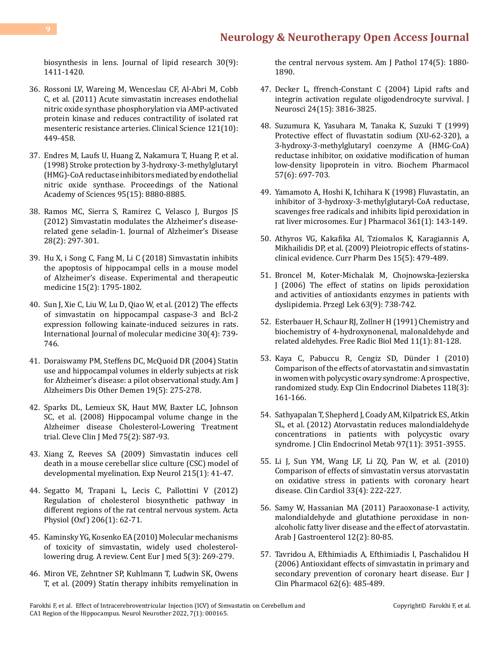[biosynthesis in lens. Journal of lipid research 30\(9\):](https://pubmed.ncbi.nlm.nih.gov/2513368/) [1411-1420.](https://pubmed.ncbi.nlm.nih.gov/2513368/)

- 36. [Rossoni LV, Wareing M, Wenceslau CF, Al-Abri M, Cobb](https://pubmed.ncbi.nlm.nih.gov/21671887/) [C, et al. \(2011\) Acute simvastatin increases endothelial](https://pubmed.ncbi.nlm.nih.gov/21671887/) [nitric oxide synthase phosphorylation via AMP-activated](https://pubmed.ncbi.nlm.nih.gov/21671887/) [protein kinase and reduces contractility of isolated rat](https://pubmed.ncbi.nlm.nih.gov/21671887/) [mesenteric resistance arteries. Clinical Science 121\(10\):](https://pubmed.ncbi.nlm.nih.gov/21671887/) [449-458.](https://pubmed.ncbi.nlm.nih.gov/21671887/)
- 37. [Endres M, Laufs U, Huang Z, Nakamura T, Huang P, et al.](https://pubmed.ncbi.nlm.nih.gov/9671773/) [\(1998\) Stroke protection by 3-hydroxy-3-methylglutaryl](https://pubmed.ncbi.nlm.nih.gov/9671773/) [\(HMG\)-CoA reductase inhibitors mediated by endothelial](https://pubmed.ncbi.nlm.nih.gov/9671773/) [nitric oxide synthase. Proceedings of the National](https://pubmed.ncbi.nlm.nih.gov/9671773/) [Academy of Sciences 95\(15\): 8880-8885.](https://pubmed.ncbi.nlm.nih.gov/9671773/)
- 38. [Ramos MC, Sierra S, Ramirez C, Velasco J, Burgos JS](https://pubmed.ncbi.nlm.nih.gov/21987590/) [\(2012\) Simvastatin modulates the Alzheimer's disease](https://pubmed.ncbi.nlm.nih.gov/21987590/)[related gene seladin-1. Journal of Alzheimer's Disease](https://pubmed.ncbi.nlm.nih.gov/21987590/) [28\(2\): 297-301.](https://pubmed.ncbi.nlm.nih.gov/21987590/)
- 39. [Hu X, i Song C, Fang M, Li C \(2018\) Simvastatin inhibits](https://pubmed.ncbi.nlm.nih.gov/29434767/) [the apoptosis of hippocampal cells in a mouse model](https://pubmed.ncbi.nlm.nih.gov/29434767/) [of Alzheimer's disease. Experimental and therapeutic](https://pubmed.ncbi.nlm.nih.gov/29434767/) [medicine 15\(2\): 1795-1802.](https://pubmed.ncbi.nlm.nih.gov/29434767/)
- 40. [Sun J, Xie C, Liu W, Lu D, Qiao W, et al. \(2012\) The effects](https://pubmed.ncbi.nlm.nih.gov/22842798/) [of simvastatin on hippocampal caspase-3 and Bcl-2](https://pubmed.ncbi.nlm.nih.gov/22842798/) [expression following kainate-induced seizures in rats.](https://pubmed.ncbi.nlm.nih.gov/22842798/) [International Journal of molecular medicine 30\(4\): 739-](https://pubmed.ncbi.nlm.nih.gov/22842798/) [746.](https://pubmed.ncbi.nlm.nih.gov/22842798/)
- 41. [Doraiswamy PM, Steffens DC, McQuoid DR \(2004\) Statin](https://pubmed.ncbi.nlm.nih.gov/15553983/) [use and hippocampal volumes in elderly subjects at risk](https://pubmed.ncbi.nlm.nih.gov/15553983/) [for Alzheimer's disease: a pilot observational study. Am J](https://pubmed.ncbi.nlm.nih.gov/15553983/) [Alzheimers Dis Other Demen 19\(5\): 275-278.](https://pubmed.ncbi.nlm.nih.gov/15553983/)
- 42. [Sparks DL, Lemieux SK, Haut MW, Baxter LC, Johnson](https://pubmed.ncbi.nlm.nih.gov/18540154/) [SC, et al. \(2008\) Hippocampal volume change in the](https://pubmed.ncbi.nlm.nih.gov/18540154/) [Alzheimer disease Cholesterol-Lowering Treatment](https://pubmed.ncbi.nlm.nih.gov/18540154/) [trial. Cleve Clin J Med 75\(2\): S87-93.](https://pubmed.ncbi.nlm.nih.gov/18540154/)
- 43. [Xiang Z, Reeves SA \(2009\) Simvastatin induces cell](https://pubmed.ncbi.nlm.nih.gov/18929563/) [death in a mouse cerebellar slice culture \(CSC\) model of](https://pubmed.ncbi.nlm.nih.gov/18929563/) [developmental myelination. Exp Neurol 215\(1\): 41-47.](https://pubmed.ncbi.nlm.nih.gov/18929563/)
- 44. [Segatto M, Trapani L, Lecis C, Pallottini V \(2012\)](https://pubmed.ncbi.nlm.nih.gov/22591135/) [Regulation of cholesterol biosynthetic pathway in](https://pubmed.ncbi.nlm.nih.gov/22591135/) [different regions of the rat central nervous system. Acta](https://pubmed.ncbi.nlm.nih.gov/22591135/) [Physiol \(Oxf\) 206\(1\): 62-71.](https://pubmed.ncbi.nlm.nih.gov/22591135/)
- 45. Kaminsky YG, Kosenko EA (2010) Molecular mechanisms of toxicity of simvastatin, widely used cholesterollowering drug. A review. Cent Eur J med 5(3): 269-279.
- 46. [Miron VE, Zehntner SP, Kuhlmann T, Ludwin SK, Owens](https://pubmed.ncbi.nlm.nih.gov/19349355/) [T, et al. \(2009\) Statin therapy inhibits remyelination in](https://pubmed.ncbi.nlm.nih.gov/19349355/)

[the central nervous system. Am J Pathol 174\(5\): 1880-](https://pubmed.ncbi.nlm.nih.gov/19349355/) [1890.](https://pubmed.ncbi.nlm.nih.gov/19349355/)

- 47. [Decker L, ffrench-Constant C \(2004\) Lipid rafts and](https://pubmed.ncbi.nlm.nih.gov/15084663/)  [integrin activation regulate oligodendrocyte survival. J](https://pubmed.ncbi.nlm.nih.gov/15084663/)  [Neurosci 24\(15\): 3816-3825.](https://pubmed.ncbi.nlm.nih.gov/15084663/)
- 48. [Suzumura K, Yasuhara M, Tanaka K, Suzuki T \(1999\)](https://pubmed.ncbi.nlm.nih.gov/10037456/) [Protective effect of fluvastatin sodium \(XU-62-320\), a](https://pubmed.ncbi.nlm.nih.gov/10037456/)  [3-hydroxy-3-methylglutaryl coenzyme A \(HMG-CoA\)](https://pubmed.ncbi.nlm.nih.gov/10037456/) [reductase inhibitor, on oxidative modification of human](https://pubmed.ncbi.nlm.nih.gov/10037456/)  [low-density lipoprotein in vitro. Biochem Pharmacol](https://pubmed.ncbi.nlm.nih.gov/10037456/)  [57\(6\): 697-703.](https://pubmed.ncbi.nlm.nih.gov/10037456/)
- 49. [Yamamoto A, Hoshi K, Ichihara K \(1998\) Fluvastatin, an](https://pubmed.ncbi.nlm.nih.gov/9851551/)  [inhibitor of 3-hydroxy-3-methylglutaryl-CoA reductase,](https://pubmed.ncbi.nlm.nih.gov/9851551/) [scavenges free radicals and inhibits lipid peroxidation in](https://pubmed.ncbi.nlm.nih.gov/9851551/) [rat liver microsomes. Eur J Pharmacol 361\(1\): 143-149.](https://pubmed.ncbi.nlm.nih.gov/9851551/)
- 50. [Athyros VG, Kakafika AI, Tziomalos K, Karagiannis A,](https://pubmed.ncbi.nlm.nih.gov/19199976/)  [Mikhailidis DP, et al. \(2009\) Pleiotropic effects of statins](https://pubmed.ncbi.nlm.nih.gov/19199976/)[clinical evidence. Curr Pharm Des 15\(5\): 479-489.](https://pubmed.ncbi.nlm.nih.gov/19199976/)
- 51. [Broncel M, Koter-Michalak M, Chojnowska-Jezierska](https://pubmed.ncbi.nlm.nih.gov/17479860/)  [J \(2006\) The effect of statins on lipids peroxidation](https://pubmed.ncbi.nlm.nih.gov/17479860/) [and activities of antioxidants enzymes in patients with](https://pubmed.ncbi.nlm.nih.gov/17479860/) [dyslipidemia. Przegl Lek 63\(9\): 738-742.](https://pubmed.ncbi.nlm.nih.gov/17479860/)
- 52. [Esterbauer H, Schaur RJ, Zollner H \(1991\) Chemistry and](https://pubmed.ncbi.nlm.nih.gov/1937131/)  [biochemistry of 4-hydroxynonenal, malonaldehyde and](https://pubmed.ncbi.nlm.nih.gov/1937131/) [related aldehydes. Free Radic Biol Med 11\(1\): 81-128.](https://pubmed.ncbi.nlm.nih.gov/1937131/)
- 53. [Kaya C, Pabuccu R, Cengiz SD, Dünder I \(2010\)](https://pubmed.ncbi.nlm.nih.gov/20146169/) [Comparison of the effects of atorvastatin and simvastatin](https://pubmed.ncbi.nlm.nih.gov/20146169/)  [in women with polycystic ovary syndrome: A prospective,](https://pubmed.ncbi.nlm.nih.gov/20146169/)  [randomized study. Exp Clin Endocrinol Diabetes 118\(3\):](https://pubmed.ncbi.nlm.nih.gov/20146169/) [161-166.](https://pubmed.ncbi.nlm.nih.gov/20146169/)
- 54. [Sathyapalan T, Shepherd J, Coady AM, Kilpatrick ES, Atkin](https://pubmed.ncbi.nlm.nih.gov/22879630/)  [SL, et al. \(2012\) Atorvastatin reduces malondialdehyde](https://pubmed.ncbi.nlm.nih.gov/22879630/) [concentrations in patients with polycystic ovary](https://pubmed.ncbi.nlm.nih.gov/22879630/)  [syndrome. J Clin Endocrinol Metab 97\(11\): 3951-3955.](https://pubmed.ncbi.nlm.nih.gov/22879630/)
- 55. [Li J, Sun YM, Wang LF, Li ZQ, Pan W, et al. \(2010\)](https://pubmed.ncbi.nlm.nih.gov/20394043/) [Comparison of effects of simvastatin versus atorvastatin](https://pubmed.ncbi.nlm.nih.gov/20394043/)  [on oxidative stress in patients with coronary heart](https://pubmed.ncbi.nlm.nih.gov/20394043/) [disease. Clin Cardiol 33\(4\): 222-227.](https://pubmed.ncbi.nlm.nih.gov/20394043/)
- 56. [Samy W, Hassanian MA \(2011\) Paraoxonase-1 activity,](https://pubmed.ncbi.nlm.nih.gov/21684478/)  [malondialdehyde and glutathione peroxidase in non](https://pubmed.ncbi.nlm.nih.gov/21684478/)[alcoholic fatty liver disease and the effect of atorvastatin.](https://pubmed.ncbi.nlm.nih.gov/21684478/)  [Arab J Gastroenterol 12\(2\): 80-85.](https://pubmed.ncbi.nlm.nih.gov/21684478/)
- 57. [Tavridou A, Efthimiadis A, Efthimiadis I, Paschalidou H](https://pubmed.ncbi.nlm.nih.gov/16758266/)  [\(2006\) Antioxidant effects of simvastatin in primary and](https://pubmed.ncbi.nlm.nih.gov/16758266/) [secondary prevention of coronary heart disease. Eur J](https://pubmed.ncbi.nlm.nih.gov/16758266/)  [Clin Pharmacol 62\(6\): 485-489.](https://pubmed.ncbi.nlm.nih.gov/16758266/)